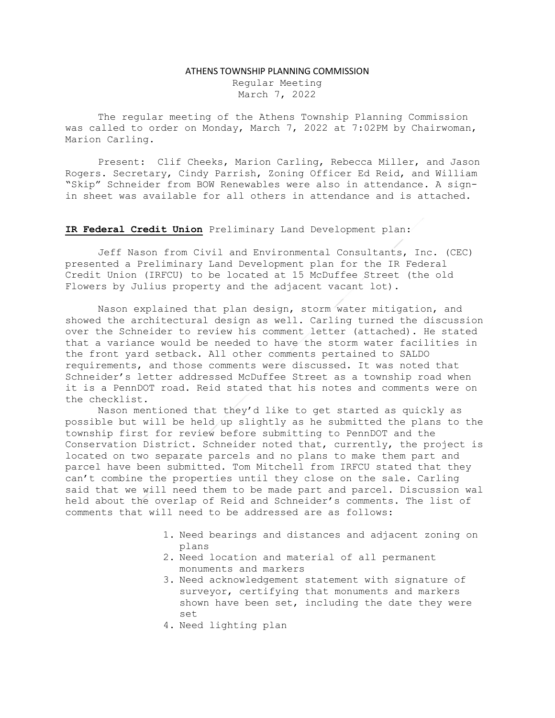#### ATHENS TOWNSHIP PLANNING COMMISSION

Regular Meeting March 7, 2022

The regular meeting of the Athens Township Planning Commission was called to order on Monday, March 7, 2022 at 7:02PM by Chairwoman, Marion Carling.

Present: Clif Cheeks, Marion Carling, Rebecca Miller, and Jason Rogers. Secretary, Cindy Parrish, Zoning Officer Ed Reid, and William "Skip" Schneider from BOW Renewables were also in attendance. A signin sheet was available for all others in attendance and is attached.

## IR Federal Credit Union Preliminary Land Development plan:

Jeff Nason from Civil and Environmental Consultants, Inc. (CEC) presented a Preliminary Land Development plan for the IR Federal Credit Union (IRFCU) to be located at 15 McDuffee Street (the old Flowers by Julius property and the adjacent vacant lot).

Nason explained that plan design, storm water mitigation, and showed the architectural design as well. Carling turned the discussion over the Schneider to review his comment letter (attached). He stated that a variance would be needed to have the storm water facilities in the front yard setback. All other comments pertained to SALDO requirements, and those comments were discussed. It was noted that Schneider's letter addressed McDuffee Street as a township road when it is a PennDOT road. Reid stated that his notes and comments were on the checklist.

Nason mentioned that they'd like to get started as quickly as possible but will be held up slightly as he submitted the plans to the township first for review before submitting to PennDOT and the Conservation District. Schneider noted that, currently, the project is located on two separate parcels and no plans to make them part and parcel have been submitted. Tom Mitchell from IRFCU stated that they can't combine the properties until they close on the sale. Carling said that we will need them to be made part and parcel. Discussion wal held about the overlap of Reid and Schneider's comments. The list of comments that will need to be addressed are as follows:

- 1. Need bearings and distances and adjacent zoning on plans
- 2. Need location and material of all permanent monuments and markers
- 3. Need acknowledgement statement with signature of surveyor, certifying that monuments and markers shown have been set, including the date they were set
- 4. Need lighting plan